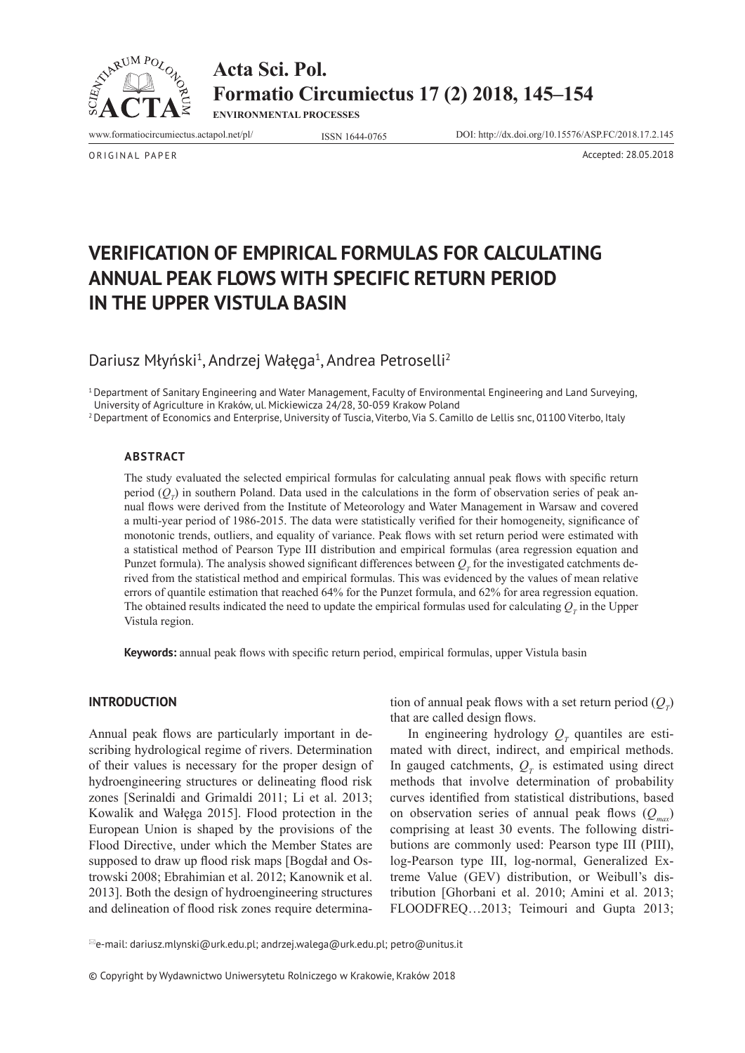

**Acta Sci. Pol. Formatio Circumiectus 17 (2) 2018, 145–154**

**ENVIRONMENTAL PROCESSES**

www.formatiocircumiectus.actapol.net/pl/ ISSN 1644-0765 DOI: http://dx.doi.org/10.15576/ASP.FC/2018.17.2.145

ORIGINAL PAPER Accepted: 28.05.2018

**VERIFICATION OF EMPIRICAL FORMULAS FOR CALCULATING ANNUAL PEAK FLOWS WITH SPECIFIC RETURN PERIOD IN THE UPPER VISTULA BASIN**

Dariusz Młyński<sup>1</sup>, Andrzej Wałęga<sup>1</sup>, Andrea Petroselli<sup>2</sup>

<sup>1</sup>Department of Sanitary Engineering and Water Management, Faculty of Environmental Engineering and Land Surveying, University of Agriculture in Kraków, ul. Mickiewicza 24/28, 30-059 Krakow Poland

 $2$  Department of Economics and Enterprise, University of Tuscia, Viterbo, Via S. Camillo de Lellis snc, 01100 Viterbo, Italy

#### **Abstract**

The study evaluated the selected empirical formulas for calculating annual peak flows with specific return period  $(Q_T)$  in southern Poland. Data used in the calculations in the form of observation series of peak annual flows were derived from the Institute of Meteorology and Water Management in Warsaw and covered a multi-year period of 1986-2015. The data were statistically verified for their homogeneity, significance of monotonic trends, outliers, and equality of variance. Peak flows with set return period were estimated with a statistical method of Pearson Type III distribution and empirical formulas (area regression equation and Punzet formula). The analysis showed significant differences between  $Q_{T}$  for the investigated catchments derived from the statistical method and empirical formulas. This was evidenced by the values of mean relative errors of quantile estimation that reached 64% for the Punzet formula, and 62% for area regression equation. The obtained results indicated the need to update the empirical formulas used for calculating  $Q_{T}$  in the Upper Vistula region.

**Keywords:** annual peak flows with specific return period, empirical formulas, upper Vistula basin

### **INTRODUCTION**

Annual peak flows are particularly important in describing hydrological regime of rivers. Determination of their values is necessary for the proper design of hydroengineering structures or delineating flood risk zones [Serinaldi and Grimaldi 2011; Li et al. 2013; Kowalik and Wałęga 2015]. Flood protection in the European Union is shaped by the provisions of the Flood Directive, under which the Member States are supposed to draw up flood risk maps [Bogdał and Ostrowski 2008; Ebrahimian et al. 2012; Kanownik et al. 2013]. Both the design of hydroengineering structures and delineation of flood risk zones require determina-

tion of annual peak flows with a set return period  $(Q_T)$ that are called design flows.

In engineering hydrology  $Q_T$  quantiles are estimated with direct, indirect, and empirical methods. In gauged catchments,  $Q_T$  is estimated using direct methods that involve determination of probability curves identified from statistical distributions, based on observation series of annual peak flows  $(Q_{\text{max}})$ comprising at least 30 events. The following distributions are commonly used: Pearson type III (PIII), log-Pearson type III, log-normal, Generalized Extreme Value (GEV) distribution, or Weibull's distribution [Ghorbani et al. 2010; Amini et al. 2013; FLOODFREQ…2013; Teimouri and Gupta 2013;

 $\mathbb{E}_{e}$ -mail: dariusz.mlynski@urk.edu.pl; andrzej.walega@urk.edu.pl; petro@unitus.it

© Copyright by Wydawnictwo Uniwersytetu Rolniczego w Krakowie, Kraków 2018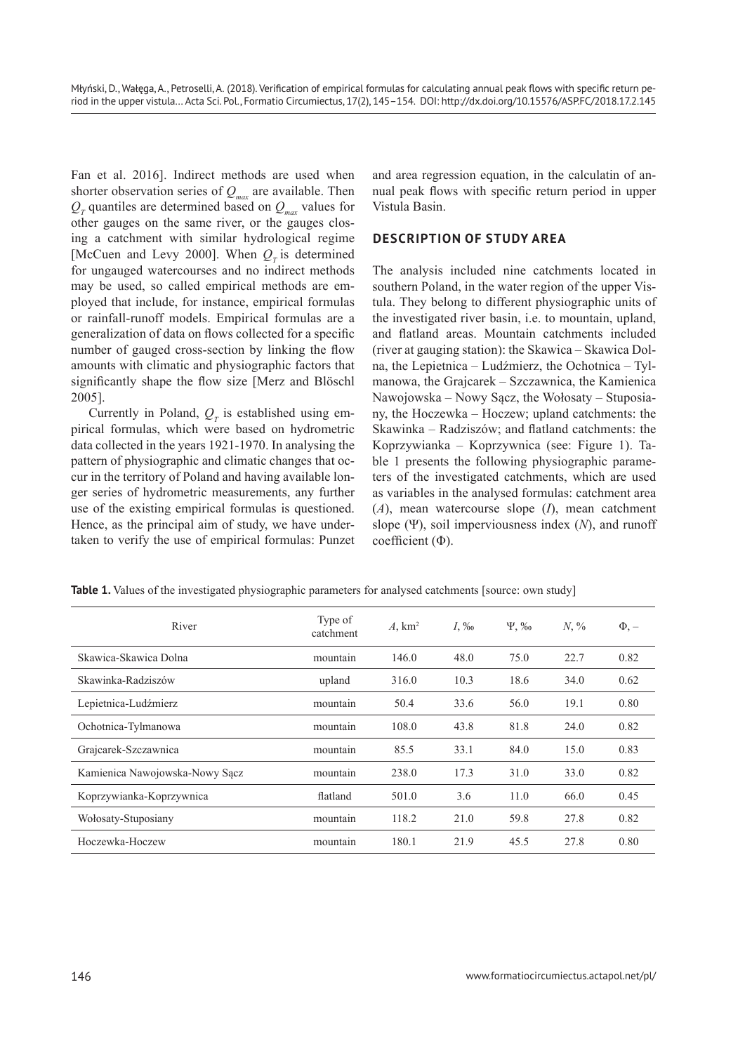Fan et al. 2016]. Indirect methods are used when shorter observation series of  $Q_{\text{max}}$  are available. Then  $Q_T$  quantiles are determined based on  $Q_{\text{max}}$  values for other gauges on the same river, or the gauges closing a catchment with similar hydrological regime [McCuen and Levy 2000]. When  $Q<sub>r</sub>$  is determined for ungauged watercourses and no indirect methods may be used, so called empirical methods are employed that include, for instance, empirical formulas or rainfall-runoff models. Empirical formulas are a generalization of data on flows collected for a specific number of gauged cross-section by linking the flow amounts with climatic and physiographic factors that significantly shape the flow size [Merz and Blöschl 2005].

Currently in Poland,  $Q_T$  is established using empirical formulas, which were based on hydrometric data collected in the years 1921-1970. In analysing the pattern of physiographic and climatic changes that occur in the territory of Poland and having available longer series of hydrometric measurements, any further use of the existing empirical formulas is questioned. Hence, as the principal aim of study, we have undertaken to verify the use of empirical formulas: Punzet and area regression equation, in the calculatin of annual peak flows with specific return period in upper Vistula Basin.

# **DESCRIPTION OF STUDY AREA**

The analysis included nine catchments located in southern Poland, in the water region of the upper Vistula. They belong to different physiographic units of the investigated river basin, i.e. to mountain, upland, and flatland areas. Mountain catchments included (river at gauging station): the Skawica – Skawica Dolna, the Lepietnica – Ludźmierz, the Ochotnica – Tylmanowa, the Grajcarek – Szczawnica, the Kamienica Nawojowska – Nowy Sącz, the Wołosaty – Stuposiany, the Hoczewka – Hoczew; upland catchments: the Skawinka – Radziszów; and flatland catchments: the Koprzywianka – Koprzywnica (see: Figure 1). Table 1 presents the following physiographic parameters of the investigated catchments, which are used as variables in the analysed formulas: catchment area (*A*), mean watercourse slope (*I*), mean catchment slope (Ψ), soil imperviousness index (*N*), and runoff coefficient (Φ).

| River                          | Type of<br>catchment | A, km <sup>2</sup> | $I_{\rm s}$ ‰ | $\Psi$ , ‰ | $N, \%$ | $\Phi$ , $-$ |
|--------------------------------|----------------------|--------------------|---------------|------------|---------|--------------|
| Skawica-Skawica Dolna          | mountain             | 146.0              | 48.0          | 75.0       | 22.7    | 0.82         |
| Skawinka-Radziszów             | upland               | 316.0              | 10.3          | 18.6       | 34.0    | 0.62         |
| Lepietnica-Ludźmierz           | mountain             | 50.4               | 33.6          | 56.0       | 19.1    | 0.80         |
| Ochotnica-Tylmanowa            | mountain             | 108.0              | 43.8          | 81.8       | 24.0    | 0.82         |
| Grajcarek-Szczawnica           | mountain             | 85.5               | 33.1          | 84.0       | 15.0    | 0.83         |
| Kamienica Nawojowska-Nowy Sącz | mountain             | 238.0              | 17.3          | 31.0       | 33.0    | 0.82         |
| Koprzywianka-Koprzywnica       | flatland             | 501.0              | 3.6           | 11.0       | 66.0    | 0.45         |
| Wołosaty-Stuposiany            | mountain             | 118.2              | 21.0          | 59.8       | 27.8    | 0.82         |
| Hoczewka-Hoczew                | mountain             | 180.1              | 21.9          | 45.5       | 27.8    | 0.80         |

**Table 1.** Values of the investigated physiographic parameters for analysed catchments [source: own study]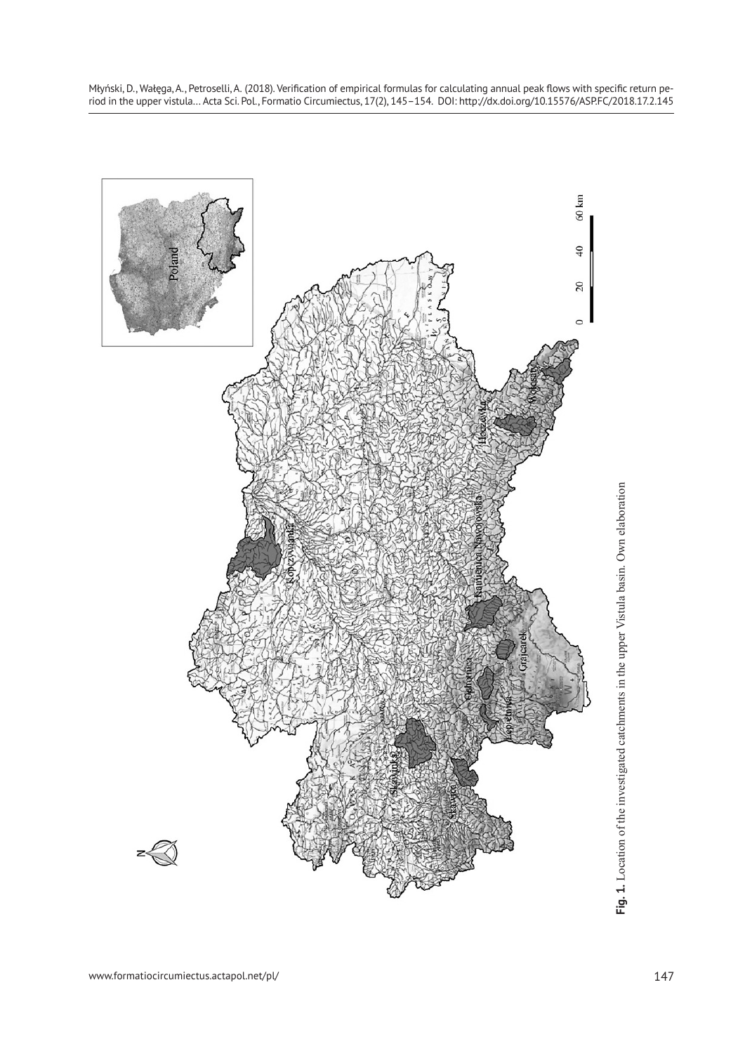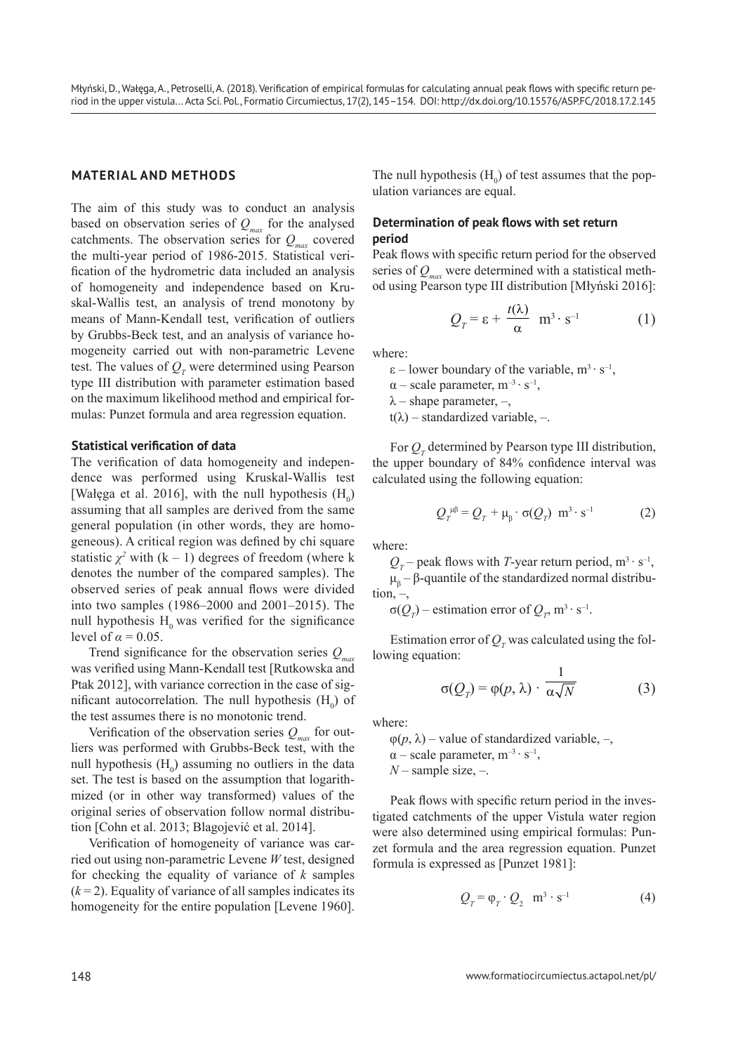## **MATERIAL AND METHODS**

The aim of this study was to conduct an analysis based on observation series of  $Q_{\text{max}}$  for the analysed catchments. The observation series for  $Q_{\text{max}}$  covered the multi-year period of 1986-2015. Statistical verification of the hydrometric data included an analysis of homogeneity and independence based on Kruskal-Wallis test, an analysis of trend monotony by means of Mann-Kendall test, verification of outliers by Grubbs-Beck test, and an analysis of variance homogeneity carried out with non-parametric Levene test. The values of  $Q_T$  were determined using Pearson type III distribution with parameter estimation based on the maximum likelihood method and empirical formulas: Punzet formula and area regression equation.

#### **Statistical verification of data**

The verification of data homogeneity and independence was performed using Kruskal-Wallis test [Wałęga et al. 2016], with the null hypothesis  $(H_0)$ assuming that all samples are derived from the same general population (in other words, they are homogeneous). A critical region was defined by chi square statistic  $\chi^2$  with  $(k - 1)$  degrees of freedom (where k denotes the number of the compared samples). The observed series of peak annual flows were divided into two samples (1986–2000 and 2001–2015). The null hypothesis  $H_0$  was verified for the significance level of  $\alpha = 0.05$ .

Trend significance for the observation series  $Q_{\text{max}}$ was verified using Mann-Kendall test [Rutkowska and Ptak 2012], with variance correction in the case of sigmificant autocorrelation. The null hypothesis  $(H_0)$  of the test assumes there is no monotonic trend.

Verification of the observation series  $Q_{\text{max}}$  for outliers was performed with Grubbs-Beck test, with the null hypothesis  $(H_0)$  assuming no outliers in the data set. The test is based on the assumption that logarithmized (or in other way transformed) values of the original series of observation follow normal distribution [Cohn et al. 2013; Blagojević et al. 2014].

Verification of homogeneity of variance was carried out using non-parametric Levene *W* test, designed for checking the equality of variance of *k* samples  $(k=2)$ . Equality of variance of all samples indicates its homogeneity for the entire population [Levene 1960].

The null hypothesis  $(H_0)$  of test assumes that the population variances are equal.

### **Determination of peak flows with set return period**

Peak flows with specific return period for the observed series of  $Q_{\text{max}}$  were determined with a statistical method using Pearson type III distribution [Młyński 2016]:

$$
Q_T = \varepsilon + \frac{t(\lambda)}{\alpha} \ \mathbf{m}^3 \cdot \mathbf{s}^{-1} \tag{1}
$$

where:

 $\varepsilon$  – lower boundary of the variable, m<sup>3</sup>⋅ s<sup>-1</sup>,  $\alpha$  – scale parameter, m<sup>-3</sup> · s<sup>-1</sup>,  $\lambda$  – shape parameter, –,  $t(\lambda)$  – standardized variable, –.

For  $Q_T$  determined by Pearson type III distribution, the upper boundary of 84% confidence interval was calculated using the following equation:

$$
Q_T^{\mu\beta} = Q_T + \mu_\beta \cdot \sigma(Q_T) \ \mathbf{m}^3 \cdot \mathbf{s}^{-1} \tag{2}
$$

where:

 $Q_T$  – peak flows with *T*-year return period, m<sup>3</sup> · s<sup>-1</sup>,  $\mu_{\beta}$  – β-quantile of the standardized normal distribu $tion, -$ 

 $\sigma(Q_T)$  – estimation error of  $Q_T$ , m<sup>3</sup> · s<sup>-1</sup>.

Estimation error of  $Q_T$  was calculated using the following equation:

$$
\sigma(Q_{\gamma}) = \varphi(p, \lambda) \cdot \frac{1}{\alpha \sqrt{N}} \tag{3}
$$

where:

 $\varphi(p, \lambda)$  – value of standardized variable, –,  $\alpha$  – scale parameter,  $m^{-3} \cdot s^{-1}$ , *N* – sample size, –.

Peak flows with specific return period in the investigated catchments of the upper Vistula water region were also determined using empirical formulas: Punzet formula and the area regression equation. Punzet formula is expressed as [Punzet 1981]:

$$
Q_T = \varphi_T \cdot Q_2 \quad m^3 \cdot s^{-1} \tag{4}
$$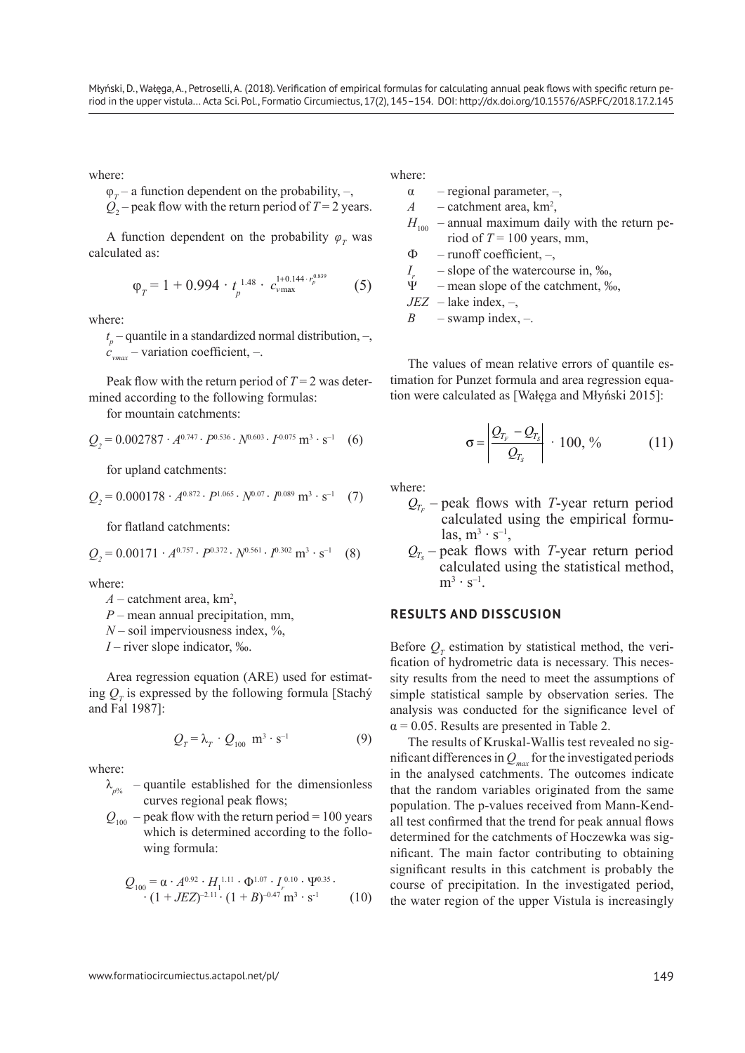where:

$$
\varphi_T
$$
 – a function dependent on the probability, –,

$$
Q_2
$$
 – peak flow with the return period of  $T = 2$  years.

A function dependent on the probability  $\varphi_T$  was calculated as:

$$
\varphi_T = 1 + 0.994 \cdot t_p^{1.48} \cdot c_{\text{vmax}}^{1+0.144 \cdot r_p^{0.839}} \tag{5}
$$

where:

 $t_p$  – quantile in a standardized normal distribution, –,  $c<sub>max</sub>$  – variation coefficient, –.

Peak flow with the return period of  $T = 2$  was determined according to the following formulas:

for mountain catchments:

$$
Q_2 = 0.002787 \cdot A^{0.747} \cdot P^{0.536} \cdot N^{0.603} \cdot I^{0.075} \text{ m}^3 \cdot \text{s}^{-1} \quad (6)
$$

for upland catchments:

$$
Q_2 = 0.000178 \cdot A^{0.872} \cdot P^{1.065} \cdot N^{0.07} \cdot I^{0.089} \,\mathrm{m}^3 \cdot \mathrm{s}^{-1} \tag{7}
$$

for flatland catchments:

$$
Q_2 = 0.00171 \cdot A^{0.757} \cdot P^{0.372} \cdot N^{0.561} \cdot I^{0.302} \text{ m}^3 \cdot \text{s}^{-1} \quad (8)
$$

where:

- $A$  catchment area,  $km^2$ ,
- *P* mean annual precipitation, mm,
- $N$  soil imperviousness index,  $\%$ ,

*I* – river slope indicator, ‰.

Area regression equation (ARE) used for estimating  $Q_T$  is expressed by the following formula [Stachý and Fal 1987]:

$$
Q_T = \lambda_T \cdot Q_{100} \ \mathbf{m}^3 \cdot \mathbf{s}^{-1} \tag{9}
$$

where:

$$
\lambda_{p\%}
$$
 – quantile established for the dimensionless curves regional peak flows;

 $Q_{100}$  – peak flow with the return period = 100 years which is determined according to the following formula:

$$
Q_{100} = \alpha \cdot A^{0.92} \cdot H_1^{1.11} \cdot \Phi^{1.07} \cdot I_r^{0.10} \cdot \Psi^{0.35} \cdot \cdot (1 + JEZ)^{-2.11} \cdot (1 + B)^{-0.47} \, \text{m}^3 \cdot \text{s}^{-1} \tag{10}
$$

where:

- $\alpha$  regional parameter, –,
- $A$  catchment area,  $km^2$ ,

$$
H_{100}
$$
 – annual maximum daily with the return period of  $T = 100$  years, mm,

- $\Phi$  runoff coefficient, –,
- *I<sub>r</sub>* slope of the watercourse in, ‰,<br> $\Psi$  mean slope of the catchment %
- mean slope of the catchment, ‰,

 $JEZ$  – lake index, –,

$$
B
$$
 -swap index, –.

The values of mean relative errors of quantile estimation for Punzet formula and area regression equation were calculated as [Wałęga and Młyński 2015]:

$$
\sigma = \left| \frac{\mathcal{Q}_{T_F} - \mathcal{Q}_{T_S}}{\mathcal{Q}_{T_S}} \right| \cdot 100, \% \qquad (11)
$$

where:

- $Q_{T_r}$  peak flows with *T*-year return period calculated using the empirical formulas,  $m^3 \cdot s^{-1}$ ,
- $Q_{T_s}$  peak flows with *T*-year return period calculated using the statistical method,  $m^3 \cdot s^{-1}$ .

### **RESULTS AND DISSCUSION**

Before  $Q_T$  estimation by statistical method, the verification of hydrometric data is necessary. This necessity results from the need to meet the assumptions of simple statistical sample by observation series. The analysis was conducted for the significance level of  $\alpha$  = 0.05. Results are presented in Table 2.

The results of Kruskal-Wallis test revealed no significant differences in  $Q_{\text{max}}$  for the investigated periods in the analysed catchments. The outcomes indicate that the random variables originated from the same population. The p-values received from Mann-Kendall test confirmed that the trend for peak annual flows determined for the catchments of Hoczewka was significant. The main factor contributing to obtaining significant results in this catchment is probably the course of precipitation. In the investigated period, the water region of the upper Vistula is increasingly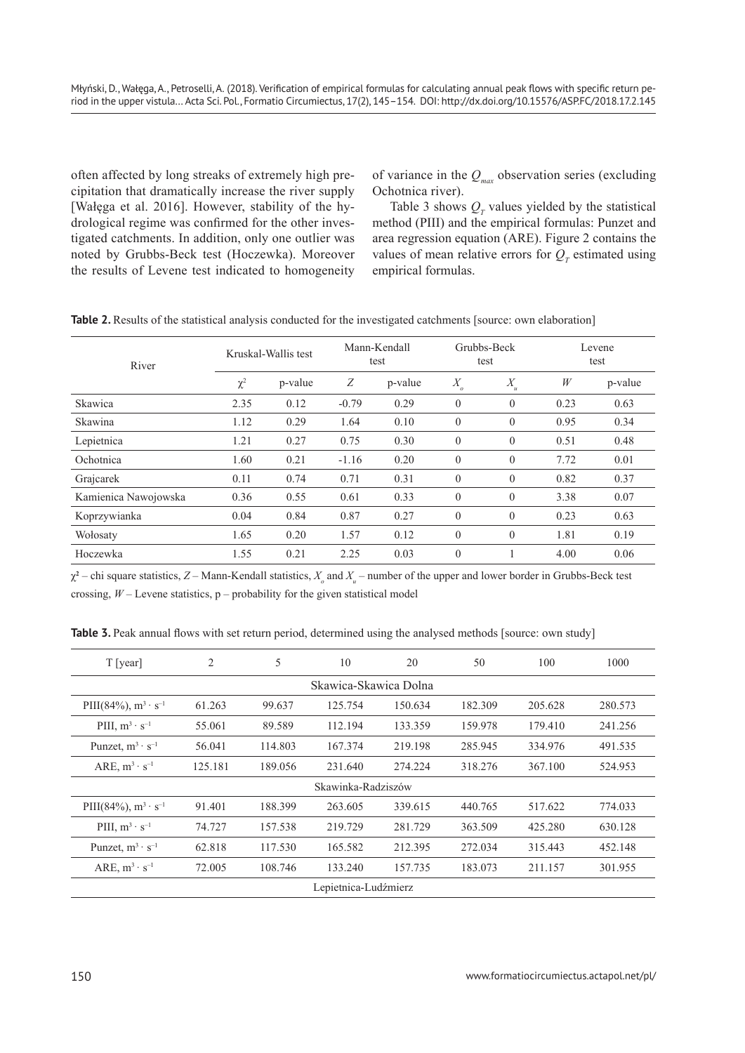often affected by long streaks of extremely high precipitation that dramatically increase the river supply [Wałęga et al. 2016]. However, stability of the hydrological regime was confirmed for the other investigated catchments. In addition, only one outlier was noted by Grubbs-Beck test (Hoczewka). Moreover the results of Levene test indicated to homogeneity of variance in the  $Q_{max}$  observation series (excluding Ochotnica river).

Table 3 shows  $Q_T$  values yielded by the statistical method (PIII) and the empirical formulas: Punzet and area regression equation (ARE). Figure 2 contains the values of mean relative errors for  $Q_T$  estimated using empirical formulas.

| River                | Kruskal-Wallis test |         | Mann-Kendall<br>test |         | Grubbs-Beck<br>test |                              | Levene<br>test |         |
|----------------------|---------------------|---------|----------------------|---------|---------------------|------------------------------|----------------|---------|
|                      | $\chi^2$            | p-value | Ζ                    | p-value | $X_{\!}$            | $X_{\!\scriptscriptstyle u}$ | W              | p-value |
| Skawica              | 2.35                | 0.12    | $-0.79$              | 0.29    | $\theta$            | $\theta$                     | 0.23           | 0.63    |
| Skawina              | 1.12                | 0.29    | 1.64                 | 0.10    | $\theta$            | $\theta$                     | 0.95           | 0.34    |
| Lepietnica           | 1.21                | 0.27    | 0.75                 | 0.30    | $\theta$            | $\theta$                     | 0.51           | 0.48    |
| Ochotnica            | 1.60                | 0.21    | $-1.16$              | 0.20    | $\theta$            | $\theta$                     | 7.72           | 0.01    |
| Grajcarek            | 0.11                | 0.74    | 0.71                 | 0.31    | $\theta$            | $\theta$                     | 0.82           | 0.37    |
| Kamienica Nawojowska | 0.36                | 0.55    | 0.61                 | 0.33    | $\theta$            | $\theta$                     | 3.38           | 0.07    |
| Koprzywianka         | 0.04                | 0.84    | 0.87                 | 0.27    | $\overline{0}$      | $\theta$                     | 0.23           | 0.63    |
| Wołosaty             | 1.65                | 0.20    | 1.57                 | 0.12    | $\theta$            | $\theta$                     | 1.81           | 0.19    |
| Hoczewka             | 1.55                | 0.21    | 2.25                 | 0.03    | $\overline{0}$      |                              | 4.00           | 0.06    |

 $\chi^2$  – chi square statistics, *Z* – Mann-Kendall statistics,  $X_o$  and  $X_u$  – number of the upper and lower border in Grubbs-Beck test crossing,  $W$  – Levene statistics,  $p$  – probability for the given statistical model

**Table 3.** Peak annual flows with set return period, determined using the analysed methods [source: own study]

| T [year]                      | $\overline{2}$ | 5       | 10      | 20      | 50      | 100     | 1000    |  |  |  |
|-------------------------------|----------------|---------|---------|---------|---------|---------|---------|--|--|--|
| Skawica-Skawica Dolna         |                |         |         |         |         |         |         |  |  |  |
| PIII(84%), $m^3 \cdot s^{-1}$ | 61.263         | 99.637  | 125.754 | 150.634 | 182.309 | 205.628 | 280.573 |  |  |  |
| PIII, $m^3 \cdot s^{-1}$      | 55.061         | 89.589  | 112.194 | 133.359 | 159.978 | 179.410 | 241.256 |  |  |  |
| Punzet, $m^3 \cdot s^{-1}$    | 56.041         | 114.803 | 167.374 | 219.198 | 285.945 | 334.976 | 491.535 |  |  |  |
| ARE, $m^3 \cdot s^{-1}$       | 125.181        | 189.056 | 231.640 | 274.224 | 318.276 | 367.100 | 524.953 |  |  |  |
| Skawinka-Radziszów            |                |         |         |         |         |         |         |  |  |  |
| PIII(84%), $m^3 \cdot s^{-1}$ | 91.401         | 188.399 | 263.605 | 339.615 | 440.765 | 517.622 | 774.033 |  |  |  |
| PIII, $m^3 \cdot s^{-1}$      | 74.727         | 157.538 | 219.729 | 281.729 | 363.509 | 425.280 | 630.128 |  |  |  |
| Punzet, $m^3 \cdot s^{-1}$    | 62.818         | 117.530 | 165.582 | 212.395 | 272.034 | 315.443 | 452.148 |  |  |  |
| ARE, $m^3 \cdot s^{-1}$       | 72.005         | 108.746 | 133.240 | 157.735 | 183.073 | 211.157 | 301.955 |  |  |  |
| Lepietnica-Ludźmierz          |                |         |         |         |         |         |         |  |  |  |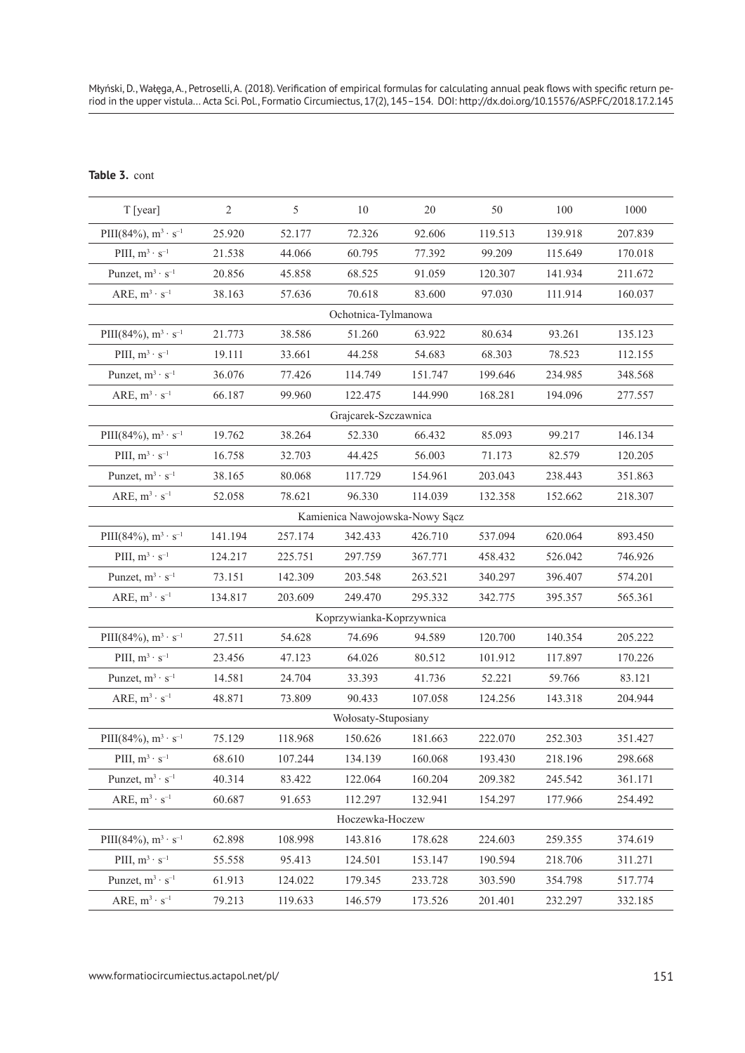# **Table 3.** cont

| T [year]                      | $\overline{2}$ | 5       | 10                       | 20                             | 50      | 100     | 1000    |  |  |  |
|-------------------------------|----------------|---------|--------------------------|--------------------------------|---------|---------|---------|--|--|--|
| PIII(84%), $m^3 \cdot s^{-1}$ | 25.920         | 52.177  | 72.326                   | 92.606                         | 119.513 | 139.918 | 207.839 |  |  |  |
| PIII, $m^3 \cdot s^{-1}$      | 21.538         | 44.066  | 60.795                   | 77.392                         | 99.209  | 115.649 | 170.018 |  |  |  |
| Punzet, $m^3 \cdot s^{-1}$    | 20.856         | 45.858  | 68.525                   | 91.059                         | 120.307 | 141.934 | 211.672 |  |  |  |
| ARE, $m^3 \cdot s^{-1}$       | 38.163         | 57.636  | 70.618                   | 83.600                         | 97.030  | 111.914 | 160.037 |  |  |  |
| Ochotnica-Tylmanowa           |                |         |                          |                                |         |         |         |  |  |  |
| PIII(84%), $m^3 \cdot s^{-1}$ | 21.773         | 38.586  | 51.260                   | 63.922                         | 80.634  | 93.261  | 135.123 |  |  |  |
| PIII, $m^3 \cdot s^{-1}$      | 19.111         | 33.661  | 44.258                   | 54.683                         | 68.303  | 78.523  | 112.155 |  |  |  |
| Punzet, $m^3 \cdot s^{-1}$    | 36.076         | 77.426  | 114.749                  | 151.747                        | 199.646 | 234.985 | 348.568 |  |  |  |
| ARE, $m^3 \cdot s^{-1}$       | 66.187         | 99.960  | 122.475                  | 144.990                        | 168.281 | 194.096 | 277.557 |  |  |  |
| Grajcarek-Szczawnica          |                |         |                          |                                |         |         |         |  |  |  |
| PIII(84%), $m^3 \cdot s^{-1}$ | 19.762         | 38.264  | 52.330                   | 66.432                         | 85.093  | 99.217  | 146.134 |  |  |  |
| PIII, $m^3 \cdot s^{-1}$      | 16.758         | 32.703  | 44.425                   | 56.003                         | 71.173  | 82.579  | 120.205 |  |  |  |
| Punzet, $m^3 \cdot s^{-1}$    | 38.165         | 80.068  | 117.729                  | 154.961                        | 203.043 | 238.443 | 351.863 |  |  |  |
| ARE, $m^3 \cdot s^{-1}$       | 52.058         | 78.621  | 96.330                   | 114.039                        | 132.358 | 152.662 | 218.307 |  |  |  |
|                               |                |         |                          | Kamienica Nawojowska-Nowy Sącz |         |         |         |  |  |  |
| PIII(84%), $m^3 \cdot s^{-1}$ | 141.194        | 257.174 | 342.433                  | 426.710                        | 537.094 | 620.064 | 893.450 |  |  |  |
| PIII, $m^3 \cdot s^{-1}$      | 124.217        | 225.751 | 297.759                  | 367.771                        | 458.432 | 526.042 | 746.926 |  |  |  |
| Punzet, $m^3 \cdot s^{-1}$    | 73.151         | 142.309 | 203.548                  | 263.521                        | 340.297 | 396.407 | 574.201 |  |  |  |
| ARE, $m^3 \cdot s^{-1}$       | 134.817        | 203.609 | 249.470                  | 295.332                        | 342.775 | 395.357 | 565.361 |  |  |  |
|                               |                |         | Koprzywianka-Koprzywnica |                                |         |         |         |  |  |  |
| PIII(84%), $m^3 \cdot s^{-1}$ | 27.511         | 54.628  | 74.696                   | 94.589                         | 120.700 | 140.354 | 205.222 |  |  |  |
| PIII, $m^3 \cdot s^{-1}$      | 23.456         | 47.123  | 64.026                   | 80.512                         | 101.912 | 117.897 | 170.226 |  |  |  |
| Punzet, $m^3 \cdot s^{-1}$    | 14.581         | 24.704  | 33.393                   | 41.736                         | 52.221  | 59.766  | 83.121  |  |  |  |
| ARE, $m^3 \cdot s^{-1}$       | 48.871         | 73.809  | 90.433                   | 107.058                        | 124.256 | 143.318 | 204.944 |  |  |  |
| Wołosaty-Stuposiany           |                |         |                          |                                |         |         |         |  |  |  |
| PIII(84%), $m^3 \cdot s^{-1}$ | 75.129         | 118.968 | 150.626                  | 181.663                        | 222.070 | 252.303 | 351.427 |  |  |  |
| PIII, $m^3 \cdot s^{-1}$      | 68.610         | 107.244 | 134.139                  | 160.068                        | 193.430 | 218.196 | 298.668 |  |  |  |
| Punzet, $m^3 \cdot s^{-1}$    | 40.314         | 83.422  | 122.064                  | 160.204                        | 209.382 | 245.542 | 361.171 |  |  |  |
| ARE, $m^3 \cdot s^{-1}$       | 60.687         | 91.653  | 112.297                  | 132.941                        | 154.297 | 177.966 | 254.492 |  |  |  |
| Hoczewka-Hoczew               |                |         |                          |                                |         |         |         |  |  |  |
| PIII(84%), $m^3 \cdot s^{-1}$ | 62.898         | 108.998 | 143.816                  | 178.628                        | 224.603 | 259.355 | 374.619 |  |  |  |
| PIII, $m^3 \cdot s^{-1}$      | 55.558         | 95.413  | 124.501                  | 153.147                        | 190.594 | 218.706 | 311.271 |  |  |  |
| Punzet, $m^3 \cdot s^{-1}$    | 61.913         | 124.022 | 179.345                  | 233.728                        | 303.590 | 354.798 | 517.774 |  |  |  |
| ARE, $m^3 \cdot s^{-1}$       | 79.213         | 119.633 | 146.579                  | 173.526                        | 201.401 | 232.297 | 332.185 |  |  |  |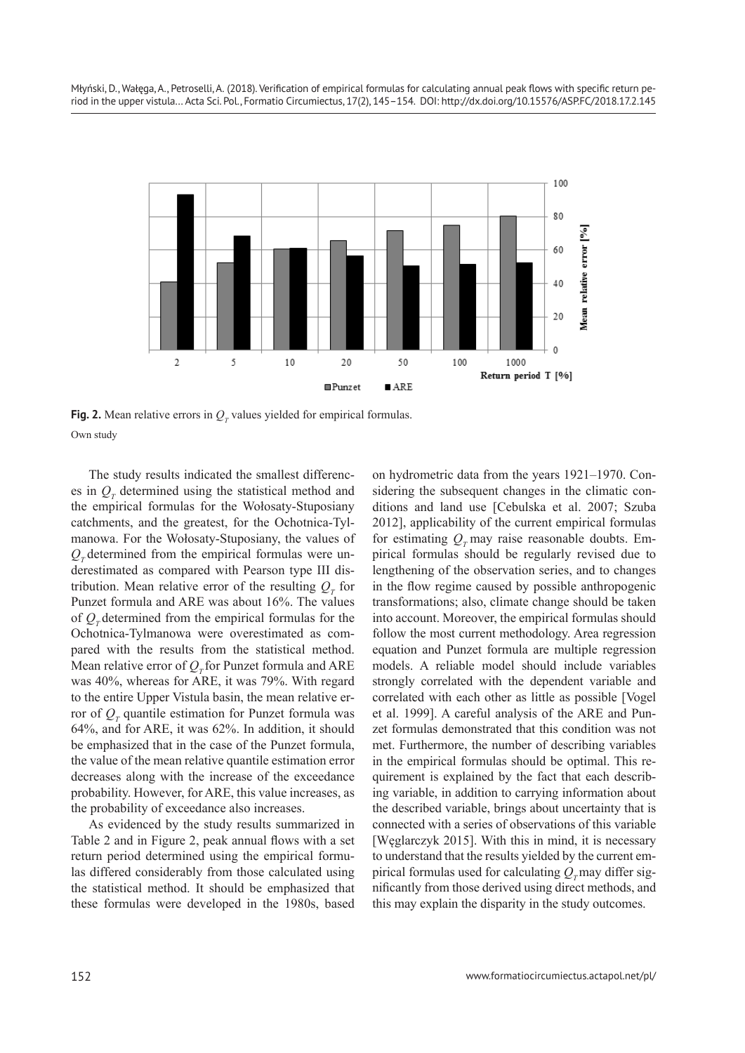

**Fig. 2.** Mean relative errors in  $Q_T$  values yielded for empirical formulas. Own study

The study results indicated the smallest differences in  $Q_T$  determined using the statistical method and the empirical formulas for the Wołosaty-Stuposiany catchments, and the greatest, for the Ochotnica-Tylmanowa. For the Wołosaty-Stuposiany, the values of  $Q<sub>x</sub>$  determined from the empirical formulas were underestimated as compared with Pearson type III distribution. Mean relative error of the resulting  $Q_T$  for Punzet formula and ARE was about 16%. The values of  $Q_{\tau}$  determined from the empirical formulas for the Ochotnica-Tylmanowa were overestimated as compared with the results from the statistical method. Mean relative error of  $O<sub>x</sub>$  for Punzet formula and ARE was 40%, whereas for ARE, it was 79%. With regard to the entire Upper Vistula basin, the mean relative error of  $Q_T$  quantile estimation for Punzet formula was 64%, and for ARE, it was 62%. In addition, it should be emphasized that in the case of the Punzet formula, the value of the mean relative quantile estimation error decreases along with the increase of the exceedance probability. However, for ARE, this value increases, as the probability of exceedance also increases.

As evidenced by the study results summarized in Table 2 and in Figure 2, peak annual flows with a set return period determined using the empirical formulas differed considerably from those calculated using the statistical method. It should be emphasized that these formulas were developed in the 1980s, based on hydrometric data from the years 1921–1970. Considering the subsequent changes in the climatic conditions and land use [Cebulska et al. 2007; Szuba 2012], applicability of the current empirical formulas for estimating  $Q_r$  may raise reasonable doubts. Empirical formulas should be regularly revised due to lengthening of the observation series, and to changes in the flow regime caused by possible anthropogenic transformations; also, climate change should be taken into account. Moreover, the empirical formulas should follow the most current methodology. Area regression equation and Punzet formula are multiple regression models. A reliable model should include variables strongly correlated with the dependent variable and correlated with each other as little as possible [Vogel et al. 1999]. A careful analysis of the ARE and Punzet formulas demonstrated that this condition was not met. Furthermore, the number of describing variables in the empirical formulas should be optimal. This requirement is explained by the fact that each describing variable, in addition to carrying information about the described variable, brings about uncertainty that is connected with a series of observations of this variable [Węglarczyk 2015]. With this in mind, it is necessary to understand that the results yielded by the current empirical formulas used for calculating  $Q<sub>r</sub>$  may differ significantly from those derived using direct methods, and this may explain the disparity in the study outcomes.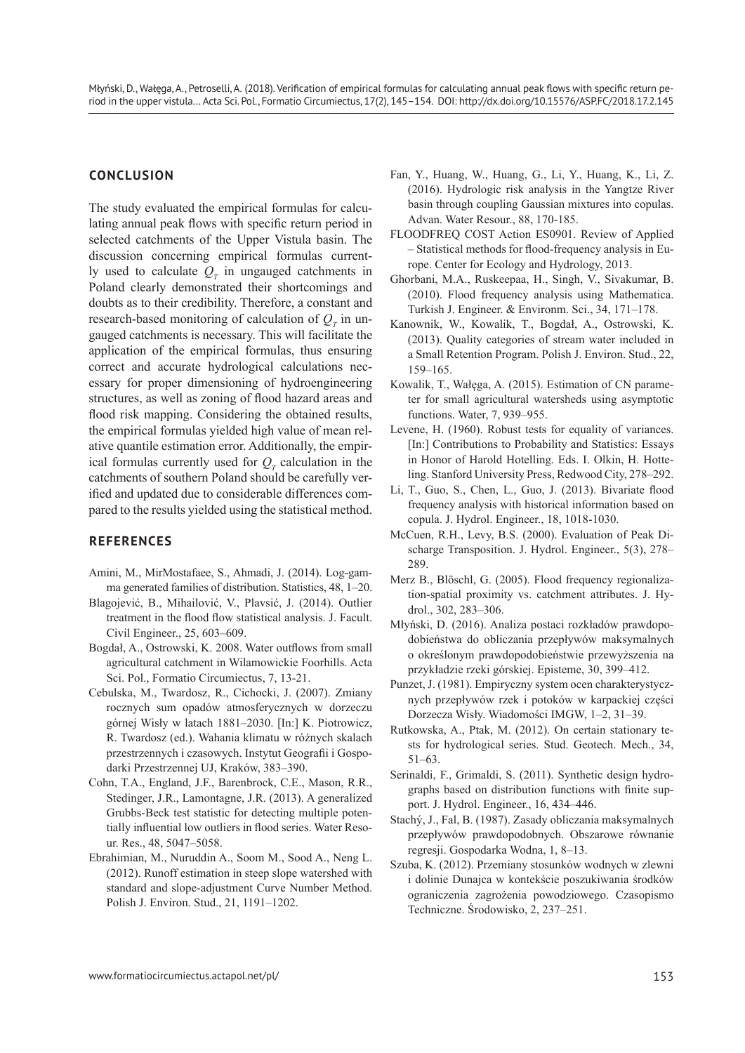## **CONCLUSION**

The study evaluated the empirical formulas for calculating annual peak flows with specific return period in selected catchments of the Upper Vistula basin. The discussion concerning empirical formulas currently used to calculate  $Q_T$  in ungauged catchments in Poland clearly demonstrated their shortcomings and doubts as to their credibility. Therefore, a constant and research-based monitoring of calculation of  $Q_T$  in ungauged catchments is necessary. This will facilitate the application of the empirical formulas, thus ensuring correct and accurate hydrological calculations necessary for proper dimensioning of hydroengineering structures, as well as zoning of flood hazard areas and flood risk mapping. Considering the obtained results, the empirical formulas yielded high value of mean relative quantile estimation error. Additionally, the empirical formulas currently used for  $Q_T$  calculation in the catchments of southern Poland should be carefully verified and updated due to considerable differences compared to the results yielded using the statistical method.

# **REFERENCES**

- Amini, M., MirMostafaee, S., Ahmadi, J. (2014). Log-gamma generated families of distribution. Statistics, 48, 1–20.
- Blagojević, B., Mihailović, V., Plavsić, J. (2014). Outlier treatment in the flood flow statistical analysis. J. Facult. Civil Engineer., 25, 603–609.
- Bogdał, A., Ostrowski, K. 2008. Water outflows from small agricultural catchment in Wilamowickie Foorhills. Acta Sci. Pol., Formatio Circumiectus, 7, 13-21.
- Cebulska, M., Twardosz, R., Cichocki, J. (2007). Zmiany rocznych sum opadów atmosferycznych w dorzeczu górnej Wisły w latach 1881–2030. [In:] K. Piotrowicz, R. Twardosz (ed.). Wahania klimatu w różnych skalach przestrzennych i czasowych. Instytut Geografii i Gospodarki Przestrzennej UJ, Kraków, 383–390.
- Cohn, T.A., England, J.F., Barenbrock, C.E., Mason, R.R., Stedinger, J.R., Lamontagne, J.R. (2013). A generalized Grubbs-Beck test statistic for detecting multiple potentially influential low outliers in flood series. Water Resour. Res., 48, 5047–5058.
- Ebrahimian, M., Nuruddin A., Soom M., Sood A., Neng L. (2012). Runoff estimation in steep slope watershed with standard and slope-adjustment Curve Number Method. Polish J. Environ. Stud., 21, 1191–1202.
- Fan, Y., Huang, W., Huang, G., Li, Y., Huang, K., Li, Z. (2016). Hydrologic risk analysis in the Yangtze River basin through coupling Gaussian mixtures into copulas. Advan. Water Resour., 88, 170-185.
- FLOODFREQ COST Action ES0901. Review of Applied – Statistical methods for flood-frequency analysis in Europe. Center for Ecology and Hydrology, 2013.
- Ghorbani, M.A., Ruskeepaa, H., Singh, V., Sivakumar, B. (2010). Flood frequency analysis using Mathematica. Turkish J. Engineer. & Environm. Sci., 34, 171–178.
- Kanownik, W., Kowalik, T., Bogdał, A., Ostrowski, K. (2013). Quality categories of stream water included in a Small Retention Program. Polish J. Environ. Stud., 22, 159–165.
- Kowalik, T., Wałęga, A. (2015). Estimation of CN parameter for small agricultural watersheds using asymptotic functions. Water, 7, 939–955.
- Levene, H. (1960). Robust tests for equality of variances. [In:] Contributions to Probability and Statistics: Essays in Honor of Harold Hotelling. Eds. I. Olkin, H. Hotteling. Stanford University Press, Redwood City, 278–292.
- Li, T., Guo, S., Chen, L., Guo, J. (2013). Bivariate flood frequency analysis with historical information based on copula. J. Hydrol. Engineer., 18, 1018-1030.
- McCuen, R.H., Levy, B.S. (2000). Evaluation of Peak Discharge Transposition. J. Hydrol. Engineer., 5(3), 278– 289.
- Merz B., Blöschl, G. (2005). Flood frequency regionalization-spatial proximity vs. catchment attributes. J. Hydrol., 302, 283–306.
- Młyński, D. (2016). Analiza postaci rozkładów prawdopodobieństwa do obliczania przepływów maksymalnych o określonym prawdopodobieństwie przewyższenia na przykładzie rzeki górskiej. Episteme, 30, 399–412.
- Punzet, J. (1981). Empiryczny system ocen charakterystycznych przepływów rzek i potoków w karpackiej części Dorzecza Wisły. Wiadomości IMGW, 1–2, 31–39.
- Rutkowska, A., Ptak, M. (2012). On certain stationary tests for hydrological series. Stud. Geotech. Mech., 34, 51–63.
- Serinaldi, F., Grimaldi, S. (2011). Synthetic design hydrographs based on distribution functions with finite support. J. Hydrol. Engineer., 16, 434–446.
- Stachý, J., Fal, B. (1987). Zasady obliczania maksymalnych przepływów prawdopodobnych. Obszarowe równanie regresji. Gospodarka Wodna, 1, 8–13.
- Szuba, K. (2012). Przemiany stosunków wodnych w zlewni i dolinie Dunajca w kontekście poszukiwania środków ograniczenia zagrożenia powodziowego. Czasopismo Techniczne. Środowisko, 2, 237–251.